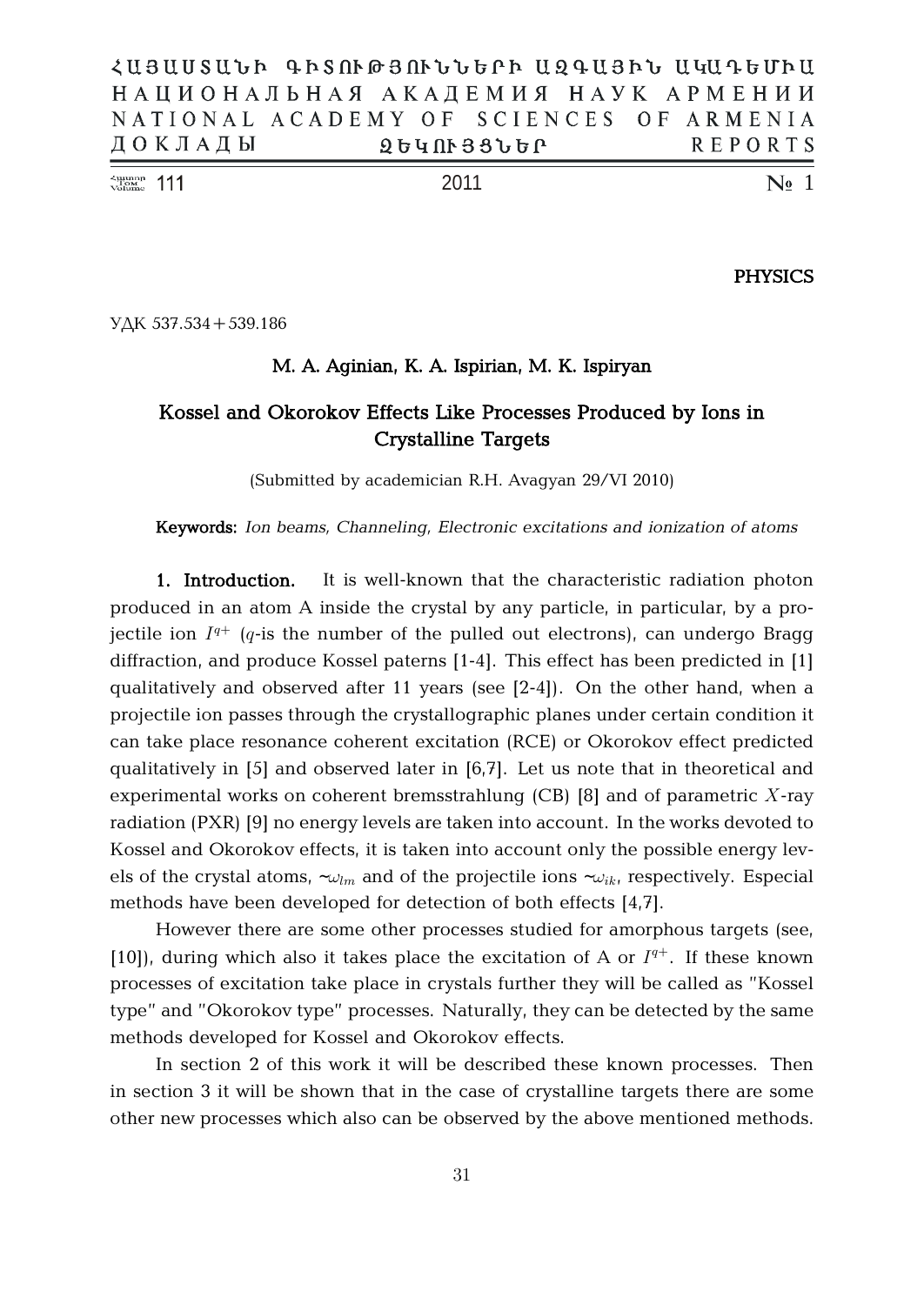| $\frac{\text{Number of Number}}{\text{Volume}}$ 111 | 2011                                      | $\mathbb{N}$ <sup>o</sup> 1 |
|-----------------------------------------------------|-------------------------------------------|-----------------------------|
| ДОКЛАДЫ                                             | <b>ՁԵԿՈՒՅՑՆԵՐ</b>                         | REPORTS                     |
|                                                     | NATIONAL ACADEMY OF SCIENCES OF ARMENIA   |                             |
|                                                     | НАЦИОНАЛЬНАЯ АКАДЕМИЯ НАУК АРМЕНИИ        |                             |
|                                                     | ՀԱՅԱՍՏԱՆԻ ԳԻՏՈՒԹՅՈՒՆՆԵՐԻ ԱԶԳԱՅԻՆ ԱԿԱԳԵՄԻԱ |                             |

**PHYSICS**

 $Y\Delta K$  537.534 + 539.186

## **M. A. Aginian, K. A. Ispirian, M. K. Ispiryan**

# **Kossel and Okorokov Effects Like Processes Produced by Ions in Crystalline Targets**

(Submitted by academician R.H. Avagyan 29/VI 2010)

**Keywords:** *Ion beams, Channeling, Electronic excitations and ionization of atoms*

**1. Introduction.** It is well-known that the characteristic radiation photon produced in an atom A inside the crystal by any particle, in particular, by a projectile ion  $I^{q+}$  ( $q$ -is the number of the pulled out electrons), can undergo Bragg diffraction, and produce Kossel paterns [1-4]. This effect has been predicted in [1] qualitatively and observed after 11 years (see [2-4]). On the other hand, when a projectile ion passes through the crystallographic planes under certain condition it can take place resonance coherent excitation (RCE) or Okorokov effect predicted qualitatively in [5] and observed later in [6,7]. Let us note that in theoretical and experimental works on coherent bremsstrahlung  $(CB)$  [8] and of parametric X-ray radiation (PXR) [9] no energy levels are taken into account. In the works devoted to Kossel and Okorokov effects, it is taken into account only the possible energy levels of the crystal atoms,  $\sim \omega_{lm}$  and of the projectile ions  $\sim \omega_{ik}$ , respectively. Especial methods have been developed for detection of both effects [4,7].

However there are some other processes studied for amorphous targets (see, [10]), during which also it takes place the excitation of A or  $I^{q+}$ . If these known processes of excitation take place in crystals further they will be called as "Kossel type" and "Okorokov type" processes. Naturally, they can be detected by the same methods developed for Kossel and Okorokov effects.

In section 2 of this work it will be described these known processes. Then in section 3 it will be shown that in the case of crystalline targets there are some other new processes which also can be observed by the above mentioned methods.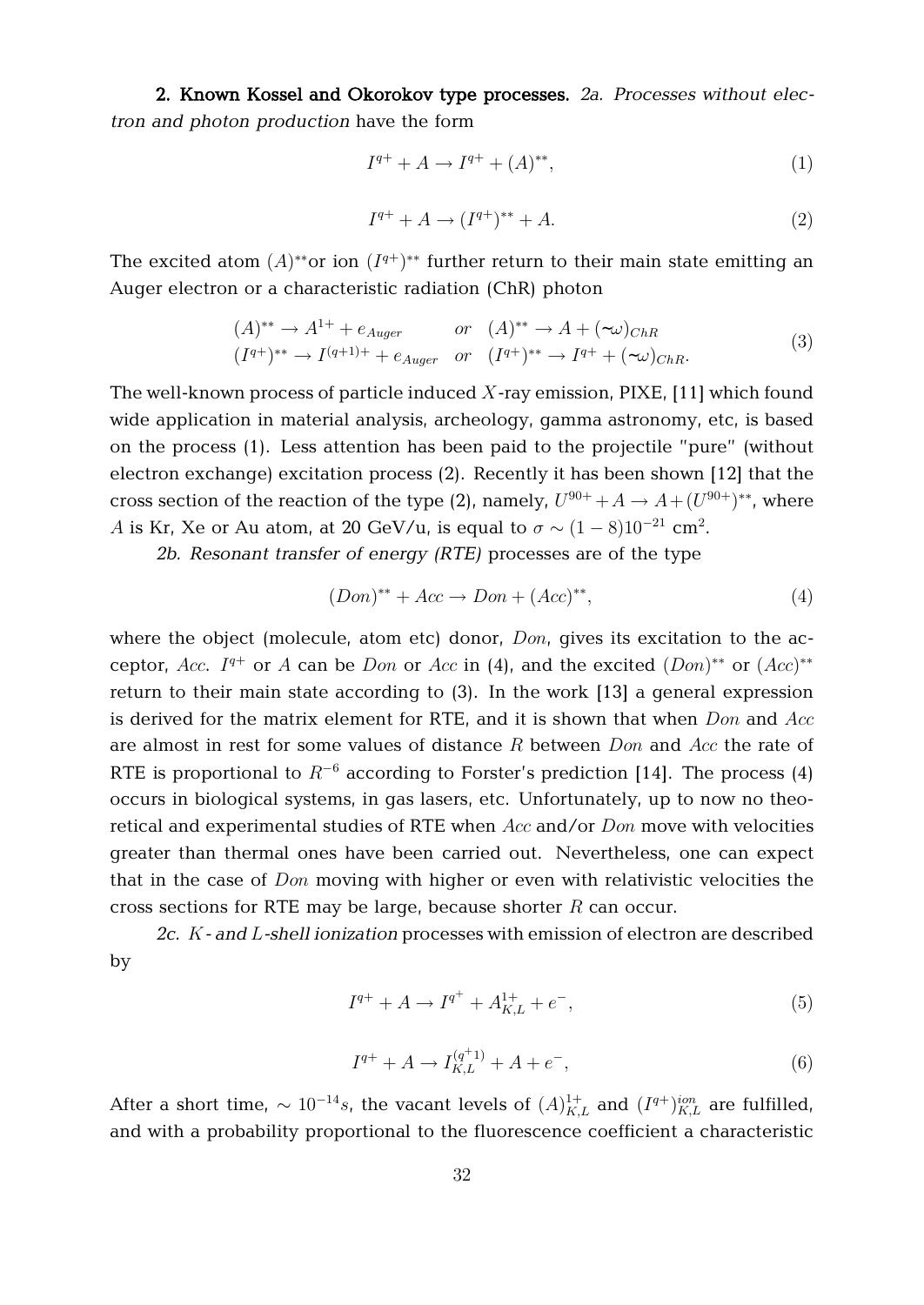**2. Known Kossel and Okorokov type processes.** *2a. Processes without electron and photon production* have the form

$$
I^{q+} + A \to I^{q+} + (A)^{**}, \tag{1}
$$

$$
I^{q+} + A \to (I^{q+})^{**} + A. \tag{2}
$$

The excited atom  $(A)^{**}$ or ion  $(I^{q+})^{**}$  further return to their main state emitting an Auger electron or a characteristic radiation (ChR) photon

$$
(A)^{**} \rightarrow A^{1+} + e_{Auger} \qquad or \quad (A)^{**} \rightarrow A + (\sim\omega)_{ChR}
$$
  

$$
(I^{q+})^{**} \rightarrow I^{(q+1)+} + e_{Auger} \qquad or \qquad (I^{q+})^{**} \rightarrow I^{q+} + (\sim\omega)_{ChR}.
$$

$$
(3)
$$

The well-known process of particle induced  $X$ -ray emission, PIXE, [11] which found wide application in material analysis, archeology, gamma astronomy, etc, is based on the process (1). Less attention has been paid to the projectile "pure" (without electron exchange) excitation process (2). Recently it has been shown [12] that the cross section of the reaction of the type (2), namely,  $U^{90+} + A \rightarrow A + (U^{90+})^{**}$ , where A is Kr, Xe or Au atom, at 20 GeV/u, is equal to  $\sigma \sim (1-8) 10^{-21}$  cm<sup>2</sup>.

*2b. Resonant transfer of energy (RTE)* processes are of the type

$$
(Don)^{**} + Acc \rightarrow Don + (Acc)^{**},\tag{4}
$$

where the object (molecule, atom etc) donor,  $Don$ , gives its excitation to the acceptor, Acc.  $I^{q+}$  or A can be Don or Acc in (4), and the excited  $(Don)^{**}$  or  $(Acc)^{**}$ return to their main state according to (3). In the work [13] a general expression is derived for the matrix element for RTE, and it is shown that when  $Don$  and  $Acc$ are almost in rest for some values of distance R between  $Don$  and  $Acc$  the rate of RTE is proportional to  $R^{-6}$  according to Forster's prediction [14]. The process (4) occurs in biological systems, in gas lasers, etc. Unfortunately, up to now no theoretical and experimental studies of RTE when  $Acc$  and/or  $Don$  move with velocities greater than thermal ones have been carried out. Nevertheless, one can expect that in the case of  $Don$  moving with higher or even with relativistic velocities the cross sections for RTE may be large, because shorter  $R$  can occur.

*2c.* K*- and* L*-shell ionization* processes with emission of electron are described by

$$
I^{q+} + A \to I^{q^+} + A_{K,L}^{1+} + e^-, \tag{5}
$$

$$
I^{q+} + A \to I_{K,L}^{(q+1)} + A + e^{-}, \tag{6}
$$

After a short time,  $\sim 10^{-14} s$ , the vacant levels of  $(A)^{1+}_{K,L}$  and  $(I^{q+})^{ion}_{K,L}$  are fulfilled, and with a probability proportional to the fluorescence coefficient a characteristic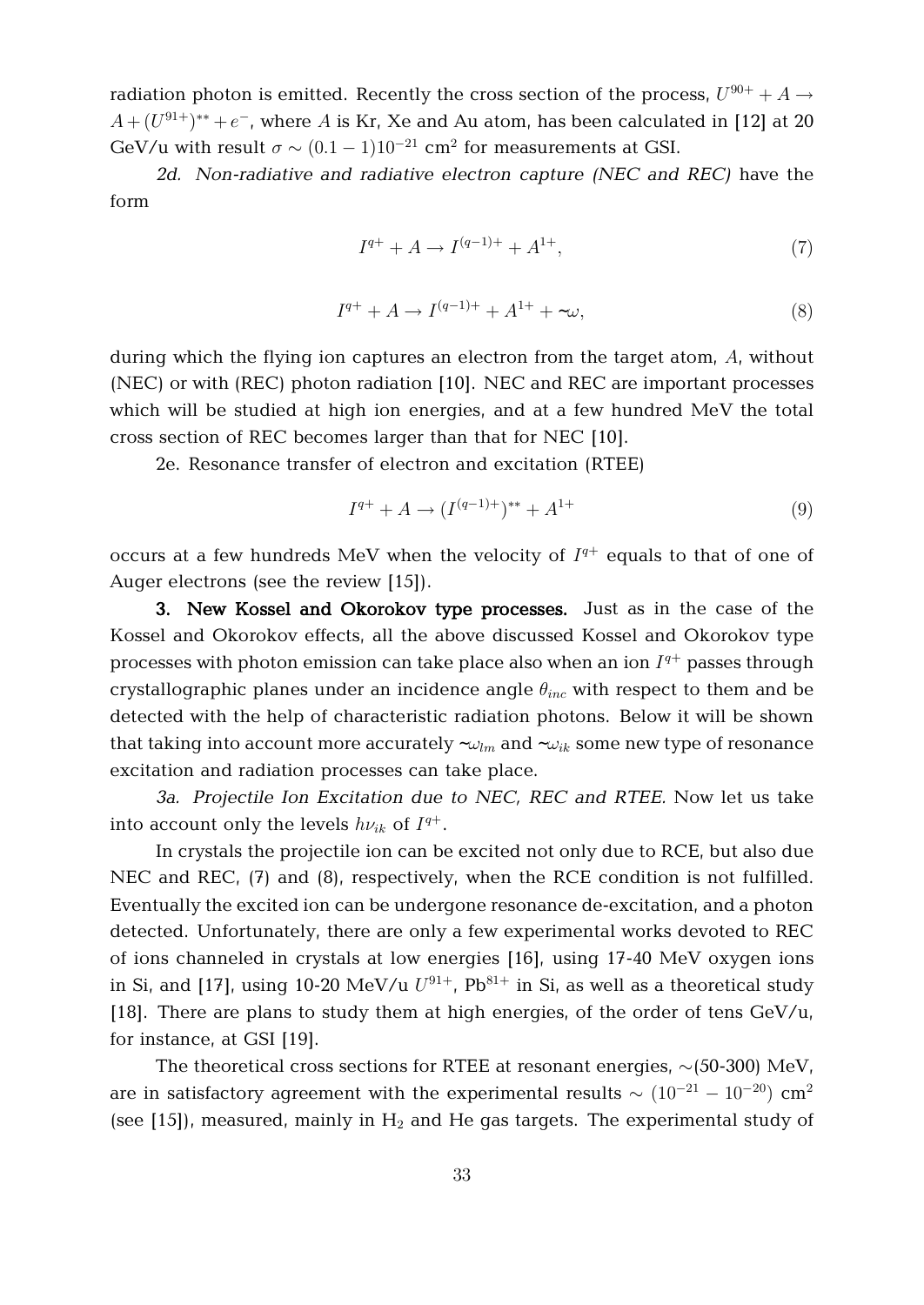radiation photon is emitted. Recently the cross section of the process,  $U^{90+} + A \rightarrow$  $A+(U^{91+})^{\ast\ast}+e^-$ , where  $A$  is Kr, Xe and Au atom, has been calculated in [12] at 20 GeV/u with result  $\sigma \sim (0.1 - 1) 10^{-21}$  cm<sup>2</sup> for measurements at GSI.

*2d. Non-radiative and radiative electron capture (NEC and REC)* have the form

$$
I^{q+} + A \to I^{(q-1)+} + A^{1+}, \tag{7}
$$

$$
I^{q+} + A \to I^{(q-1)+} + A^{1+} + \sim \omega,
$$
\n(8)

during which the flying ion captures an electron from the target atom, A, without (NEC) or with (REC) photon radiation [10]. NEC and REC are important processes which will be studied at high ion energies, and at a few hundred MeV the total cross section of REC becomes larger than that for NEC [10].

2e. Resonance transfer of electron and excitation (RTEE)

$$
I^{q+} + A \to (I^{(q-1)+})^{**} + A^{1+}
$$
\n(9)

occurs at a few hundreds MeV when the velocity of  $I^{q+}$  equals to that of one of Auger electrons (see the review [15]).

**3. New Kossel and Okorokov type processes.** Just as in the case of the Kossel and Okorokov effects, all the above discussed Kossel and Okorokov type processes with photon emission can take place also when an ion  $I^{q+}$  passes through crystallographic planes under an incidence angle  $\theta_{inc}$  with respect to them and be detected with the help of characteristic radiation photons. Below it will be shown that taking into account more accurately  $-\omega_{lm}$  and  $-\omega_{ik}$  some new type of resonance excitation and radiation processes can take place.

*3a. Projectile Ion Excitation due to NEC, REC and RTEE.* Now let us take into account only the levels  $h\nu_{ik}$  of  $I^{q+}.$ 

In crystals the projectile ion can be excited not only due to RCE, but also due NEC and REC, (7) and (8), respectively, when the RCE condition is not fulfilled. Eventually the excited ion can be undergone resonance de-excitation, and a photon detected. Unfortunately, there are only a few experimental works devoted to REC of ions channeled in crystals at low energies [16], using 17-40 MeV oxygen ions in Si, and [17], using 10-20 MeV/u  $U^{91+}$ , Pb $^{81+}$  in Si, as well as a theoretical study [18]. There are plans to study them at high energies, of the order of tens  $GeV/u$ , for instance, at GSI [19].

The theoretical cross sections for RTEE at resonant energies,  $\sim$ (50-300) MeV, are in satisfactory agreement with the experimental results  $\sim (10^{-21} - 10^{-20})$  cm<sup>2</sup> (see [15]), measured, mainly in  $H_2$  and He gas targets. The experimental study of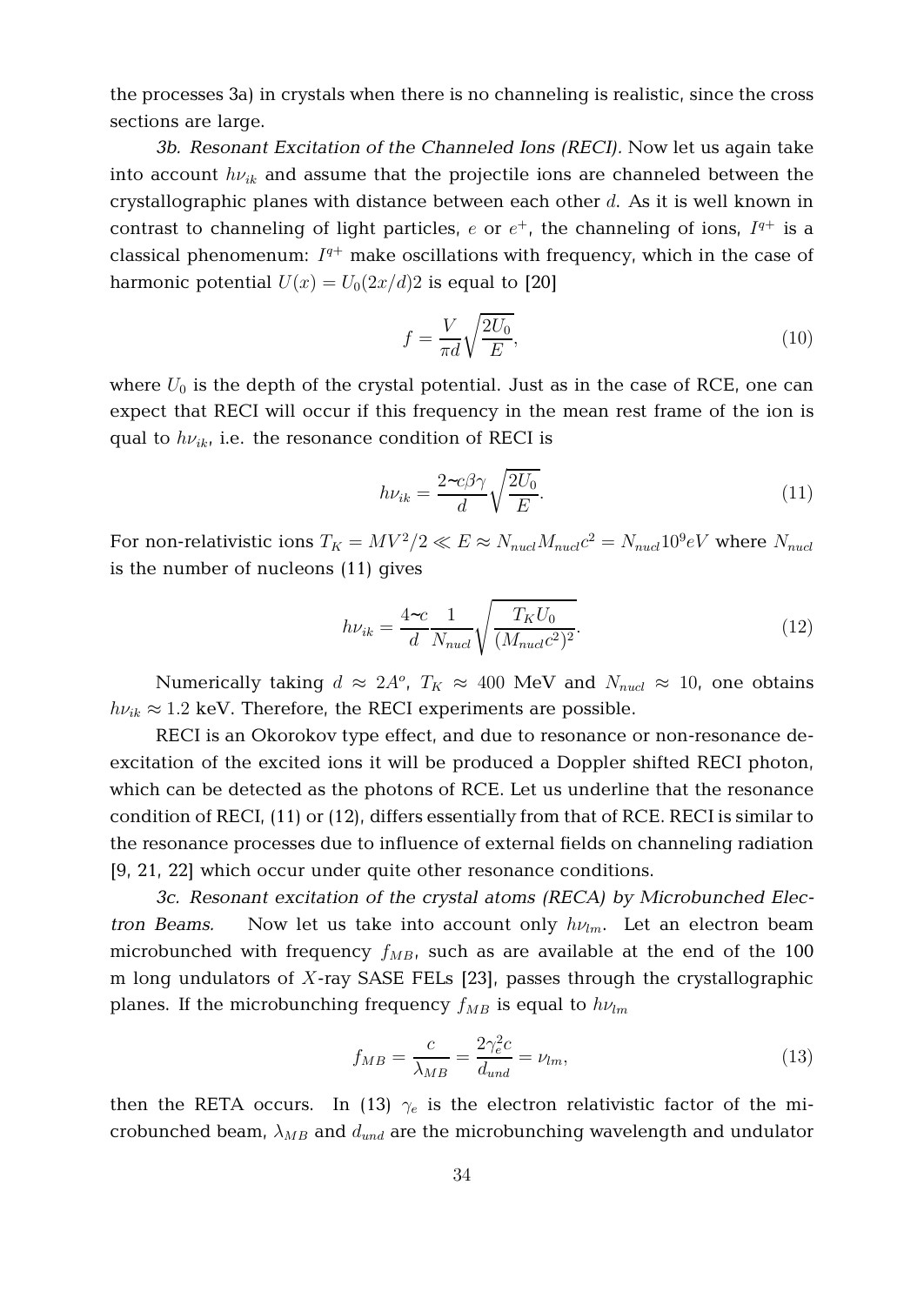the processes 3a) in crystals when there is no channeling is realistic, since the cross sections are large.

*3b. Resonant Excitation of the Channeled Ions (RECI).* Now let us again take into account  $h\nu_{ik}$  and assume that the projectile ions are channeled between the crystallographic planes with distance between each other  $d$ . As it is well known in contrast to channeling of light particles,  $e$  or  $e^+$ , the channeling of ions,  $I^{q+}$  is a classical phenomenum:  $I^{q+}$  make oscillations with frequency, which in the case of harmonic potential  $U(x) = U_0(2x/d)2$  is equal to [20]

$$
f = \frac{V}{\pi d} \sqrt{\frac{2U_0}{E}},\tag{10}
$$

where  $U_0$  is the depth of the crystal potential. Just as in the case of RCE, one can expect that RECI will occur if this frequency in the mean rest frame of the ion is qual to  $h\nu_{ik}$ , i.e. the resonance condition of RECI is

$$
h\nu_{ik} = \frac{2 \sim c\beta \gamma}{d} \sqrt{\frac{2U_0}{E}}.
$$
\n(11)

For non-relativistic ions  $T_K = M V^2 / 2 \ll E \approx N_{nucl} M_{nucl} c^2 = N_{nucl} 10^9 eV$  where  $N_{nucl}$ is the number of nucleons (11) gives

$$
h\nu_{ik} = \frac{4\text{-}c}{d} \frac{1}{N_{nucl}} \sqrt{\frac{T_K U_0}{(M_{nucl}c^2)^2}}.
$$
\n(12)

Numerically taking  $d \approx 2A^o$ ,  $T_K \approx 400$  MeV and  $N_{nucl} \approx 10$ , one obtains  $h\nu_{ik} \approx 1.2$  keV. Therefore, the RECI experiments are possible.

RECI is an Okorokov type effect, and due to resonance or non-resonance deexcitation of the excited ions it will be produced a Doppler shifted RECI photon, which can be detected as the photons of RCE. Let us underline that the resonance condition of RECI, (11) or (12), differs essentially from that of RCE. RECI is similar to the resonance processes due to influence of external fields on channeling radiation [9, 21, 22] which occur under quite other resonance conditions.

*3c. Resonant excitation of the crystal atoms (RECA) by Microbunched Electron Beams.* Now let us take into account only  $h\nu_{lm}$ . Let an electron beam microbunched with frequency  $f_{MB}$ , such as are available at the end of the 100 m long undulators of  $X$ -ray SASE FELs [23], passes through the crystallographic planes. If the microbunching frequency  $f_{MB}$  is equal to  $h\nu_{lm}$ 

$$
f_{MB} = \frac{c}{\lambda_{MB}} = \frac{2\gamma_e^2 c}{d_{und}} = \nu_{lm},\tag{13}
$$

then the RETA occurs. In (13)  $\gamma_e$  is the electron relativistic factor of the microbunched beam,  $\lambda_{MB}$  and  $d_{und}$  are the microbunching wavelength and undulator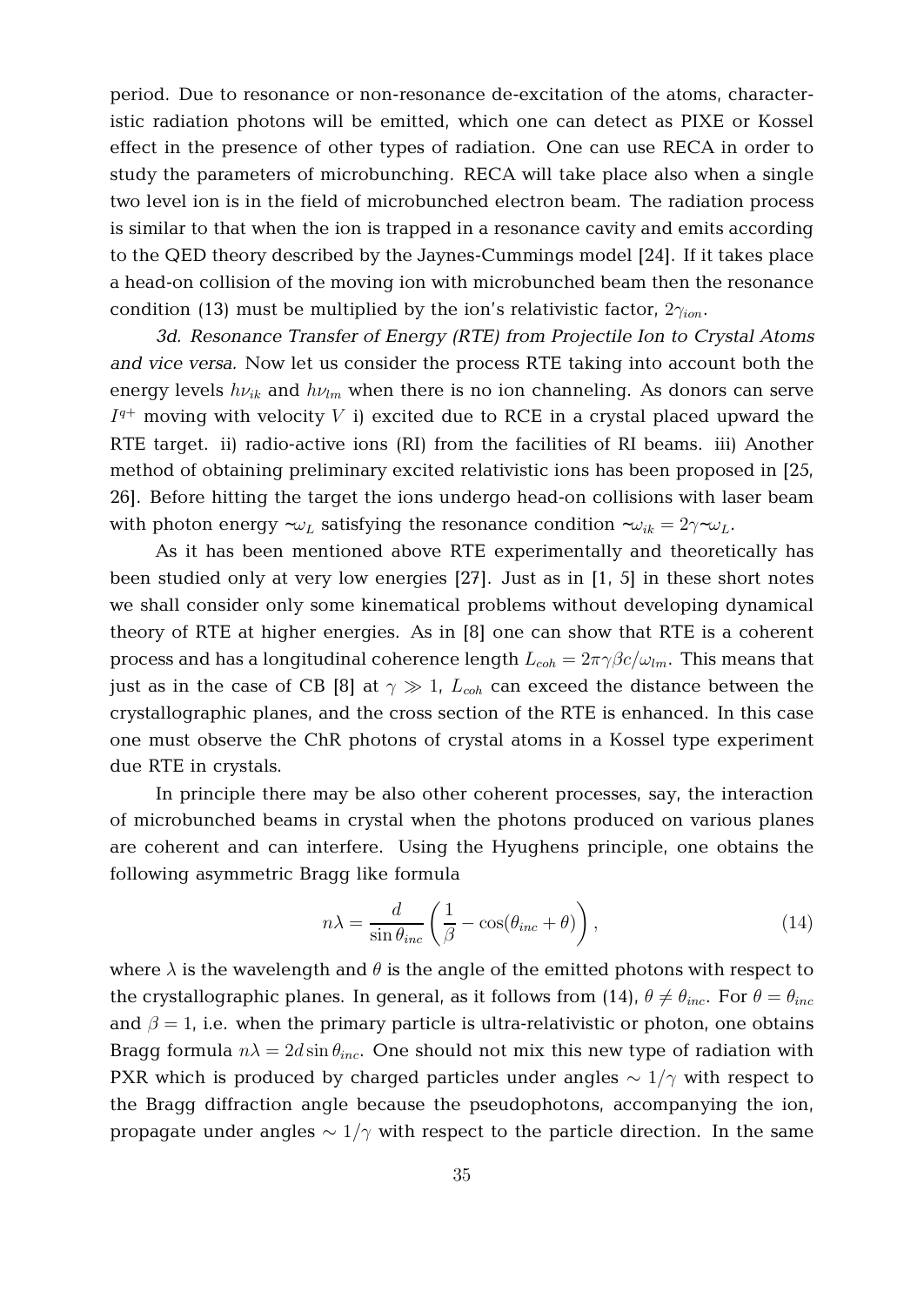period. Due to resonance or non-resonance de-excitation of the atoms, characteristic radiation photons will be emitted, which one can detect as PIXE or Kossel effect in the presence of other types of radiation. One can use RECA in order to study the parameters of microbunching. RECA will take place also when a single two level ion is in the field of microbunched electron beam. The radiation process is similar to that when the ion is trapped in a resonance cavity and emits according to the QED theory described by the Jaynes-Cummings model [24]. If it takes place a head-on collision of the moving ion with microbunched beam then the resonance condition (13) must be multiplied by the ion's relativistic factor,  $2\gamma_{ion}$ .

*3d. Resonance Transfer of Energy (RTE) from Projectile Ion to Crystal Atoms and vice versa.* Now let us consider the process RTE taking into account both the energy levels  $h\nu_{ik}$  and  $h\nu_{lm}$  when there is no ion channeling. As donors can serve  $I^{q+}$  moving with velocity V i) excited due to RCE in a crystal placed upward the RTE target. ii) radio-active ions (RI) from the facilities of RI beams. iii) Another method of obtaining preliminary excited relativistic ions has been proposed in [25, 26]. Before hitting the target the ions undergo head-on collisions with laser beam with photon energy  $\sim \omega_L$  satisfying the resonance condition  $\sim \omega_{ik} = 2\gamma \sim \omega_L$ .

As it has been mentioned above RTE experimentally and theoretically has been studied only at very low energies [27]. Just as in [1, 5] in these short notes we shall consider only some kinematical problems without developing dynamical theory of RTE at higher energies. As in [8] one can show that RTE is a coherent process and has a longitudinal coherence length  $L_{coh} = 2\pi \gamma \beta c/\omega_{lm}$ . This means that just as in the case of CB [8] at  $\gamma \gg 1$ ,  $L_{coh}$  can exceed the distance between the crystallographic planes, and the cross section of the RTE is enhanced. In this case one must observe the ChR photons of crystal atoms in a Kossel type experiment due RTE in crystals.

In principle there may be also other coherent processes, say, the interaction of microbunched beams in crystal when the photons produced on various planes are coherent and can interfere. Using the Hyughens principle, one obtains the following asymmetric Bragg like formula

$$
n\lambda = \frac{d}{\sin \theta_{inc}} \left( \frac{1}{\beta} - \cos(\theta_{inc} + \theta) \right), \qquad (14)
$$

where  $\lambda$  is the wavelength and  $\theta$  is the angle of the emitted photons with respect to the crystallographic planes. In general, as it follows from (14),  $\theta \neq \theta_{inc}$ . For  $\theta = \theta_{inc}$ and  $\beta = 1$ , i.e. when the primary particle is ultra-relativistic or photon, one obtains Bragg formula  $n\lambda = 2d \sin \theta_{inc}$ . One should not mix this new type of radiation with PXR which is produced by charged particles under angles  $\sim 1/\gamma$  with respect to the Bragg diffraction angle because the pseudophotons, accompanying the ion, propagate under angles  $\sim 1/\gamma$  with respect to the particle direction. In the same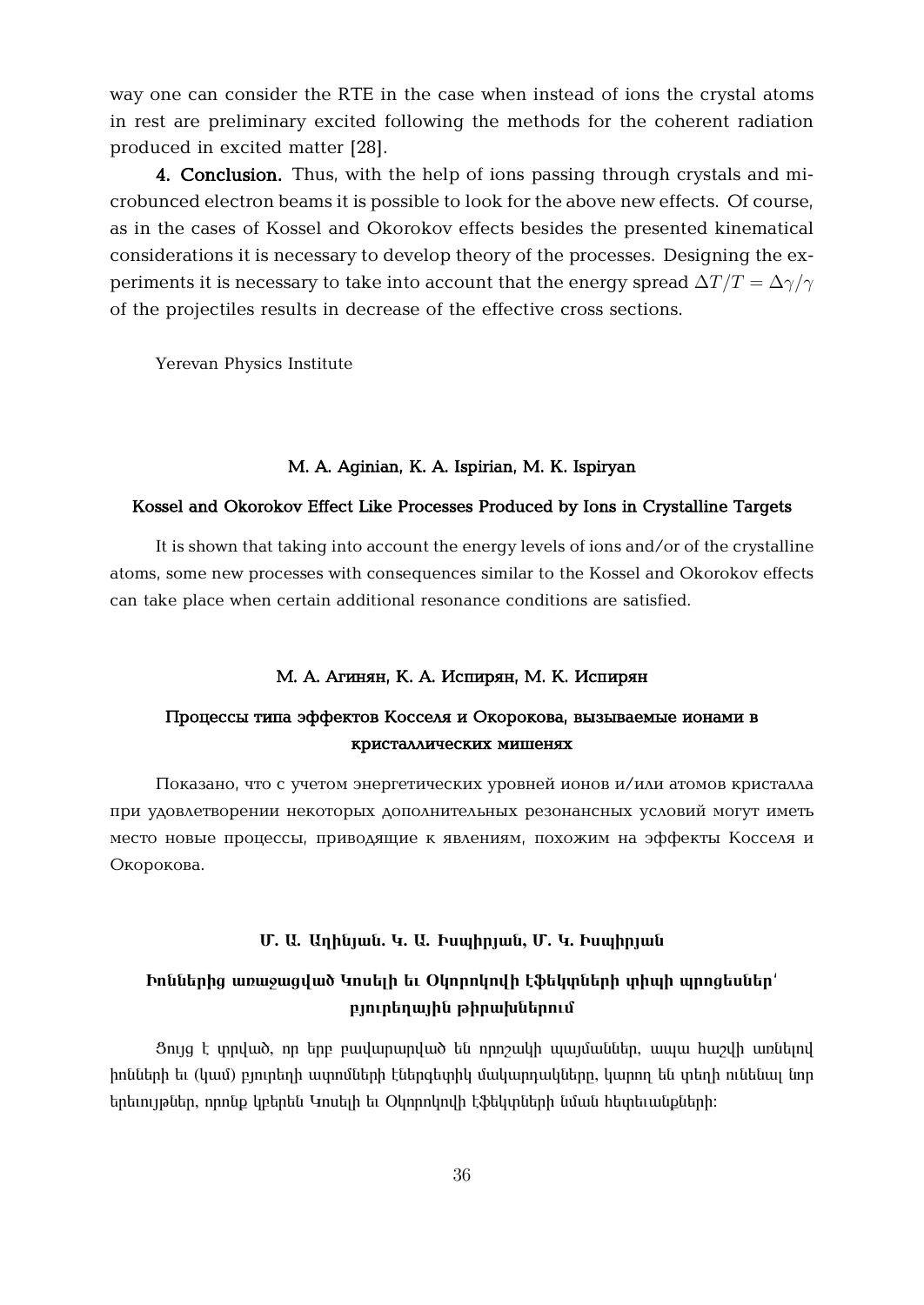way one can consider the RTE in the case when instead of ions the crystal atoms in rest are preliminary excited following the methods for the coherent radiation produced in excited matter [28].

**4. Conclusion.** Thus, with the help of ions passing through crystals and microbunced electron beams it is possible to look for the above new effects. Of course, as in the cases of Kossel and Okorokov effects besides the presented kinematical considerations it is necessary to develop theory of the processes. Designing the experiments it is necessary to take into account that the energy spread  $\Delta T/T = \Delta \gamma/\gamma$ of the projectiles results in decrease of the effective cross sections.

Yerevan Physics Institute

### **M. A. Aginian, K. A. Ispirian, M. K. Ispiryan**

### **Kossel and Okorokov Effect Like Processes Produced by Ions in Crystalline Targets**

It is shown that taking into account the energy levels of ions and/or of the crystalline atoms, some new processes with consequences similar to the Kossel and Okorokov effects can take place when certain additional resonance conditions are satisfied.

#### **М.** А. Агинян, К. А. Испирян, М. К. Испирян

## **Процессы типа эффектов Косселя и Окорокова, вызываемые ионами в кристаллических мишенях**

Показано, что с учетом энергетических уровней ионов и/или атомов кристалла при удовлетворении некоторых дополнительных резонансных условий могут иметь место новые процессы, приводящие к явлениям, похожим на эффекты Косселя и Окорокова.

#### $\mathbf{U}$ . **W.** Unhujwu. 4. U. bumhujwu, U. 4. bumhujwu

## **Engihahang Example 10 instituted in the Communisty of the University of the University Production in the University of Production in the University of Diskopher Communisty of Diskopher Communisty Organization in the Uni p n**

<u>3nyq է արված, որ երբ բավարարված են որոշակի պայմաններ, ապա հաշվի առնելով</u> իոնների եւ (կամ) բյուրեղի ափոմների էներգետիկ մակարդակները, կարող են տեղի ունենալ նոր tipting put in neup quantit undig the Olyan and the tipting the hapting tipting the tipting the tipting the ti